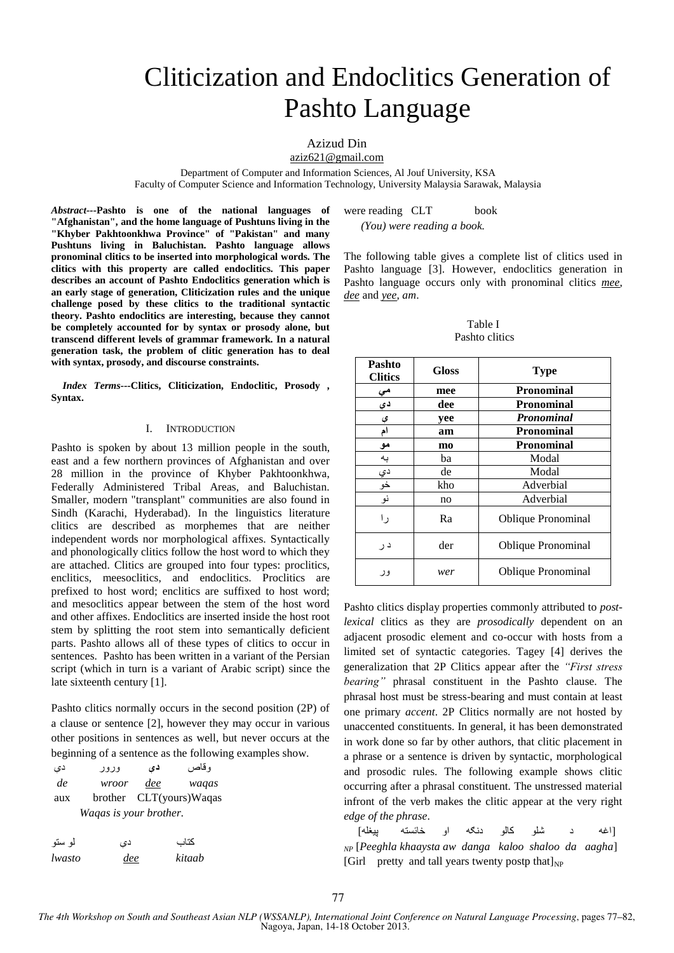# Cliticization and Endoclitics Generation of Pashto Language

## Azizud Din

aziz621@gmail.com

Department of Computer and Information Sciences, Al Jouf University, KSA Faculty of Computer Science and Information Technology, University Malaysia Sarawak, Malaysia

*Abstract---***Pashto is one of the national languages of "Afghanistan", and the home language of Pushtuns living in the "Khyber Pakhtoonkhwa Province" of "Pakistan" and many Pushtuns living in Baluchistan. Pashto language allows pronominal clitics to be inserted into morphological words. The clitics with this property are called endoclitics. This paper describes an account of Pashto Endoclitics generation which is an early stage of generation, Cliticization rules and the unique challenge posed by these clitics to the traditional syntactic theory. Pashto endoclitics are interesting, because they cannot be completely accounted for by syntax or prosody alone, but transcend different levels of grammar framework. In a natural generation task, the problem of clitic generation has to deal with syntax, prosody, and discourse constraints.**

*Index Terms---***Clitics, Cliticization, Endoclitic, Prosody , Syntax.**

#### I. INTRODUCTION

Pashto is spoken by about 13 million people in the south, east and a few northern provinces of Afghanistan and over 28 million in the province of Khyber Pakhtoonkhwa, Federally Administered Tribal Areas, and Baluchistan. Smaller, modern "transplant" communities are also found in Sindh (Karachi, Hyderabad). In the linguistics literature clitics are described as morphemes that are neither independent words nor morphological affixes. Syntactically and phonologically clitics follow the host word to which they are attached. Clitics are grouped into four types: proclitics, enclitics, meesoclitics, and endoclitics. Proclitics are prefixed to host word; enclitics are suffixed to host word; and mesoclitics appear between the stem of the host word and other affixes. Endoclitics are inserted inside the host root stem by splitting the root stem into semantically deficient parts. Pashto allows all of these types of clitics to occur in sentences. Pashto has been written in a variant of the Persian script (which in turn is a variant of Arabic script) since the late sixteenth century [1].

Pashto clitics normally occurs in the second position (2P) of a clause or sentence [2], however they may occur in various other positions in sentences as well, but never occurs at the beginning of a sentence as the following examples show.

| دی                     | وزوز  | دی  | و قاص                   |
|------------------------|-------|-----|-------------------------|
| de                     | wroor | dee | waqas                   |
| aux                    |       |     | brother CLT(yours)Waqas |
| Waqas is your brother. |       |     |                         |

| لمو ستو       | دی  | كتاب   |
|---------------|-----|--------|
| <i>lwasto</i> | dee | kitaab |

were reading CLT book

 *(You) were reading a book.*

The following table gives a complete list of clitics used in Pashto language [3]. However, endoclitics generation in Pashto language occurs only with pronominal clitics *mee*, *dee* and *yee*, *am*.

Table I Pashto clitics

| Pashto<br><b>Clitics</b> | <b>Gloss</b> | <b>Type</b>               |
|--------------------------|--------------|---------------------------|
|                          | mee          | Pronominal                |
| د ی                      | dee          | <b>Pronominal</b>         |
| ي                        | yee          | Pronominal                |
| ام                       | am           | Pronominal                |
| مو                       | mo           | <b>Pronominal</b>         |
| به                       | ba           | Modal                     |
|                          | de           | Modal                     |
| <u>دي</u><br>خو          | kho          | Adverbial                 |
| نو                       | no           | Adverbial                 |
| ر ۱                      | Ra           | <b>Oblique Pronominal</b> |
| د ر                      | der          | <b>Oblique Pronominal</b> |
| ور                       | wer          | <b>Oblique Pronominal</b> |

Pashto clitics display properties commonly attributed to *postlexical* clitics as they are *prosodically* dependent on an adjacent prosodic element and co-occur with hosts from a limited set of syntactic categories. Tagey [4] derives the generalization that 2P Clitics appear after the *"First stress bearing"* phrasal constituent in the Pashto clause. The phrasal host must be stress-bearing and must contain at least one primary *accent*. 2P Clitics normally are not hosted by unaccented constituents. In general, it has been demonstrated in work done so far by other authors, that clitic placement in a phrase or a sentence is driven by syntactic, morphological and prosodic rules. The following example shows clitic occurring after a phrasal constituent. The unstressed material infront of the verb makes the clitic appear at the very right *edge of the phrase*.

[اغو د شلو کالو دنګو او خائستو پيغلو] *NP* [*Peeghla khaaysta aw danga kaloo shaloo da aagha*] [Girl pretty and tall years twenty postp that] $_{NP}$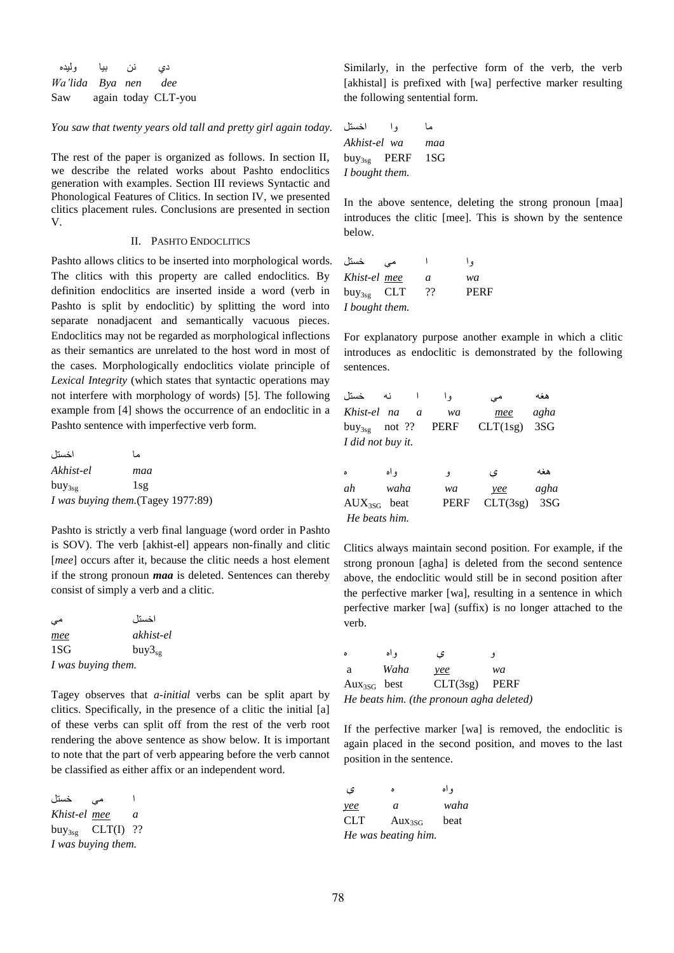| وليده               | نن بيا | دی                  |
|---------------------|--------|---------------------|
| Wa'lida Bya nen dee |        |                     |
| Saw                 |        | again today CLT-you |

*You saw that twenty years old tall and pretty girl again today.*

The rest of the paper is organized as follows. In section II, we describe the related works about Pashto endoclitics generation with examples. Section III reviews Syntactic and Phonological Features of Clitics. In section IV, we presented clitics placement rules. Conclusions are presented in section V.

## II. PASHTO ENDOCLITICS

Pashto allows clitics to be inserted into morphological words. The clitics with this property are called endoclitics. By definition endoclitics are inserted inside a word (verb in Pashto is split by endoclitic) by splitting the word into separate nonadjacent and semantically vacuous pieces. Endoclitics may not be regarded as morphological inflections as their semantics are unrelated to the host word in most of the cases. Morphologically endoclitics violate principle of *Lexical Integrity* (which states that syntactic operations may not interfere with morphology of words) [5]. The following example from [4] shows the occurrence of an endoclitic in a Pashto sentence with imperfective verb form.

| اخستل       | ما                                 |
|-------------|------------------------------------|
| Akhist-el   | maa                                |
| $buy_{3sg}$ | 1sg                                |
|             | I was buying them. (Tagey 1977:89) |

Pashto is strictly a verb final language (word order in Pashto is SOV). The verb [akhist-el] appears non-finally and clitic [*mee*] occurs after it, because the clitic needs a host element if the strong pronoun *maa* is deleted. Sentences can thereby consist of simply a verb and a clitic.

| می                 | اخستل       |
|--------------------|-------------|
| mee                | akhist-el   |
| 1SG                | $buy3_{sg}$ |
| I was buying them. |             |

Tagey observes that *a-initial* verbs can be split apart by clitics. Specifically, in the presence of a clitic the initial [a] of these verbs can split off from the rest of the verb root rendering the above sentence as show below. It is important to note that the part of verb appearing before the verb cannot be classified as either affix or an independent word.

ا مې خستل *Khist-el mee a* buy<sub>3sg</sub> CLT(I) ?? *I was buying them.*

Similarly, in the perfective form of the verb, the verb [akhistal] is prefixed with [wa] perfective marker resulting the following sentential form.

ما وا اخستل *Akhist-el wa maa* buy3sg PERF 1SG *I bought them.*

In the above sentence, deleting the strong pronoun [maa] introduces the clitic [mee]. This is shown by the sentence below.

| خستل            | مى |    | و (         |
|-----------------|----|----|-------------|
| Khist-el mee    |    | a  | wa          |
| $buy_{3sg}$ CLT |    | 99 | <b>PERF</b> |
| I bought them.  |    |    |             |

For explanatory purpose another example in which a clitic introduces as endoclitic is demonstrated by the following sentences.

| خستل               | نه       |                | و ا         | مى       | هغه  |
|--------------------|----------|----------------|-------------|----------|------|
| Khist-el na        |          | $\overline{a}$ | wa          | mee      | agha |
| $buy_{3sg}$        | not $??$ |                | <b>PERF</b> | CLT(1sg) | 3SG  |
| I did not buy it.  |          |                |             |          |      |
|                    |          |                |             |          |      |
| $\delta$           | و اه     |                | 9           | ى        | هغه  |
| ah                 | waha     |                | wa          | yee      | agha |
| $\text{AUX}_{3SG}$ | beat     |                | <b>PERF</b> | CLT(3sg) | 3SG  |
| He beats him.      |          |                |             |          |      |

Clitics always maintain second position. For example, if the strong pronoun [agha] is deleted from the second sentence above, the endoclitic would still be in second position after the perfective marker [wa], resulting in a sentence in which perfective marker [wa] (suffix) is no longer attached to the verb.

| ٥                | ه اه | ى                                        | - 9  |
|------------------|------|------------------------------------------|------|
| a                | Waha | yee                                      | wa   |
| $Aux_{3SG}$ best |      | CLT(3sg)                                 | PERF |
|                  |      | He beats him. (the pronoun agha deleted) |      |

If the perfective marker [wa] is removed, the endoclitic is again placed in the second position, and moves to the last position in the sentence.

واه ه ې *yee a waha* CLT Aux<sub>3SG</sub> beat *He was beating him.*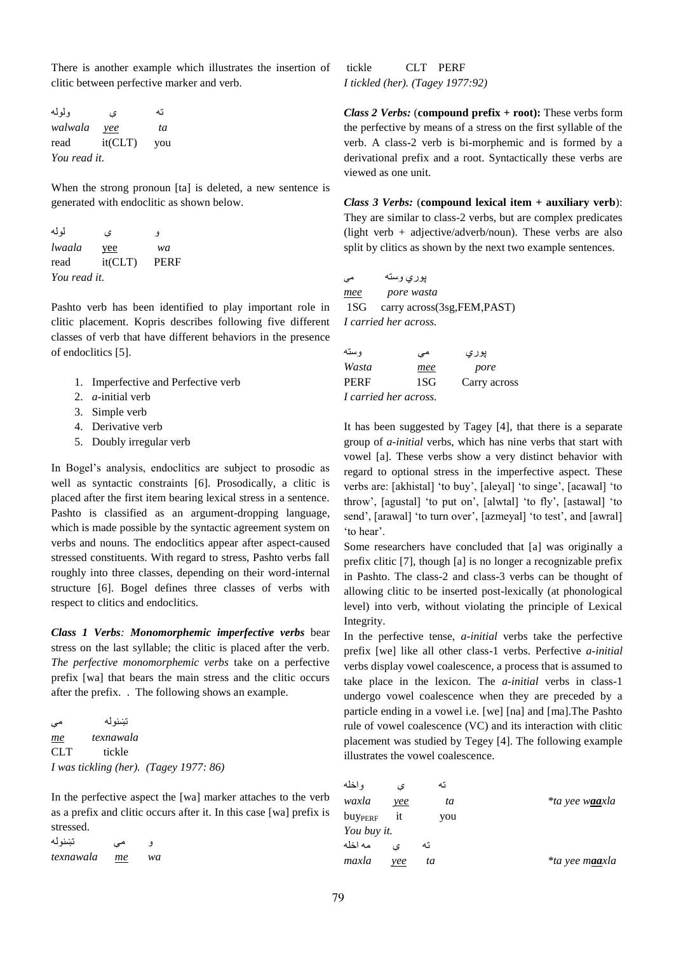There is another example which illustrates the insertion of clitic between perfective marker and verb.

ته ی ولوله *walwala yee ta* read it(CLT) you *You read it.* 

When the strong pronoun [ta] is deleted, a new sentence is generated with endoclitic as shown below.

و ې لولو *lwaala* yee *wa* read it(CLT) PERF *You read it.* 

Pashto verb has been identified to play important role in clitic placement. Kopris describes following five different classes of verb that have different behaviors in the presence of endoclitics [5].

- 1. Imperfective and Perfective verb
- 2. *a*-initial verb
- 3. Simple verb
- 4. Derivative verb
- 5. Doubly irregular verb

In Bogel"s analysis, endoclitics are subject to prosodic as well as syntactic constraints [6]. Prosodically, a clitic is placed after the first item bearing lexical stress in a sentence. Pashto is classified as an argument-dropping language, which is made possible by the syntactic agreement system on verbs and nouns. The endoclitics appear after aspect-caused stressed constituents. With regard to stress, Pashto verbs fall roughly into three classes, depending on their word-internal structure [6]. Bogel defines three classes of verbs with respect to clitics and endoclitics.

*Class 1 Verbs: Monomorphemic imperfective verbs* bear stress on the last syllable; the clitic is placed after the verb. *The perfective monomorphemic verbs* take on a perfective prefix [wa] that bears the main stress and the clitic occurs after the prefix. . The following shows an example.

تښنولو مې *me texnawala* CLT tickle *I was tickling (her). (Tagey 1977: 86)*

In the perfective aspect the [wa] marker attaches to the verb as a prefix and clitic occurs after it. In this case [wa] prefix is stressed.

و مې تښنولو *texnawala me wa*

tickle CLT PERF *I tickled (her). (Tagey 1977:92)*

*Class 2 Verbs:* (**compound prefix + root):** These verbs form the perfective by means of a stress on the first syllable of the verb. A class-2 verb is bi-morphemic and is formed by a derivational prefix and a root. Syntactically these verbs are viewed as one unit.

*Class 3 Verbs:* (**compound lexical item + auxiliary verb**): They are similar to class-2 verbs, but are complex predicates (light verb  $+$  adjective/adverb/noun). These verbs are also split by clitics as shown by the next two example sentences.

پوري وسته مې *mee pore wasta* 1SG carry across(3sg,FEM,PAST) *I carried her across.*

| و سته                 | می  | پوري         |
|-----------------------|-----|--------------|
| Wasta                 | mee | pore         |
| PERF                  | 1SG | Carry across |
| I carried her across. |     |              |

It has been suggested by Tagey [4], that there is a separate group of *a-initial* verbs, which has nine verbs that start with vowel [a]. These verbs show a very distinct behavior with regard to optional stress in the imperfective aspect. These verbs are: [akhistal] 'to buy', [aleyal] 'to singe', [acawal] 'to throw", [agustal] "to put on", [alwtal] "to fly", [astawal] "to send', [arawal] 'to turn over', [azmeyal] 'to test', and [awral] 'to hear'.

Some researchers have concluded that [a] was originally a prefix clitic [7], though [a] is no longer a recognizable prefix in Pashto. The class-2 and class-3 verbs can be thought of allowing clitic to be inserted post-lexically (at phonological level) into verb, without violating the principle of Lexical Integrity.

In the perfective tense, *a-initial* verbs take the perfective prefix [we] like all other class-1 verbs. Perfective *a-initial* verbs display vowel coalescence, a process that is assumed to take place in the lexicon. The *a-initial* verbs in class-1 undergo vowel coalescence when they are preceded by a particle ending in a vowel i.e. [we] [na] and [ma].The Pashto rule of vowel coalescence (VC) and its interaction with clitic placement was studied by Tegey [4]. The following example illustrates the vowel coalescence.

| و اخله              | ء ،  | ته  |                              |
|---------------------|------|-----|------------------------------|
| waxla               | yee  | ta  | <i>*ta yee w<b>aa</b>xla</i> |
| buy <sub>PERF</sub> | it   | you |                              |
| You buy it.         |      |     |                              |
| مه اخله             | ءَ ، | ته  |                              |
| maxla               | vee  | ta  | <i>*ta yee maaxla</i>        |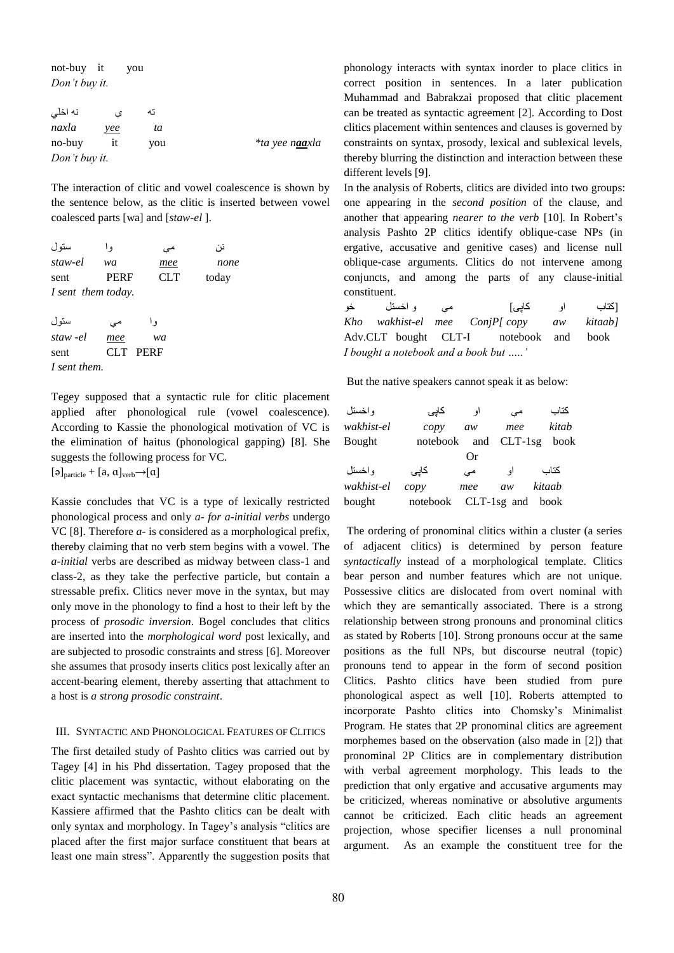not-buy it you *Don"t buy it.*

| نه اخلي       |     | ته  |                       |
|---------------|-----|-----|-----------------------|
| naxla         | yee | tа  |                       |
| no-buy        |     | vou | <i>*ta yee naaxla</i> |
| Don't buy it. |     |     |                       |

The interaction of clitic and vowel coalescence is shown by the sentence below, as the clitic is inserted between vowel coalesced parts [wa] and [*staw-el* ].

| ستو ل              | و ا         | می         | نر ،  |
|--------------------|-------------|------------|-------|
| staw-el            | wa          | mee        | none  |
| sent               | <b>PERF</b> | <b>CLT</b> | today |
| I sent them today. |             |            |       |
|                    |             |            |       |
| ستو ل              | مے          | و ا        |       |
| staw -el           | mee         | wa         |       |

sent CLT PERF *I sent them.*

Tegey supposed that a syntactic rule for clitic placement applied after phonological rule (vowel coalescence). According to Kassie the phonological motivation of VC is the elimination of haitus (phonological gapping) [8]. She suggests the following process for VC.  $[\triangleleft]_{\text{particle}} + [a, a]_{\text{verb}} \rightarrow [a]$ 

Kassie concludes that VC is a type of lexically restricted phonological process and only *a- for a-initial verbs* undergo VC [8]. Therefore *a-* is considered as a morphological prefix, thereby claiming that no verb stem begins with a vowel. The *a-initial* verbs are described as midway between class-1 and class-2, as they take the perfective particle, but contain a stressable prefix. Clitics never move in the syntax, but may only move in the phonology to find a host to their left by the process of *prosodic inversion*. Bogel concludes that clitics are inserted into the *morphological word* post lexically, and are subjected to prosodic constraints and stress [6]. Moreover she assumes that prosody inserts clitics post lexically after an accent-bearing element, thereby asserting that attachment to a host is *a strong prosodic constraint*.

#### III. SYNTACTIC AND PHONOLOGICAL FEATURES OF CLITICS

The first detailed study of Pashto clitics was carried out by Tagey [4] in his Phd dissertation. Tagey proposed that the clitic placement was syntactic, without elaborating on the exact syntactic mechanisms that determine clitic placement. Kassiere affirmed that the Pashto clitics can be dealt with only syntax and morphology. In Tagey"s analysis "clitics are placed after the first major surface constituent that bears at least one main stress". Apparently the suggestion posits that phonology interacts with syntax inorder to place clitics in correct position in sentences. In a later publication Muhammad and Babrakzai proposed that clitic placement can be treated as syntactic agreement [2]. According to Dost clitics placement within sentences and clauses is governed by constraints on syntax, prosody, lexical and sublexical levels, thereby blurring the distinction and interaction between these different levels [9].

In the analysis of Roberts, clitics are divided into two groups: one appearing in the *second position* of the clause, and another that appearing *nearer to the verb* [10]. In Robert's analysis Pashto 2P clitics identify oblique-case NPs (in ergative, accusative and genitive cases) and license null oblique-case arguments. Clitics do not intervene among conjuncts, and among the parts of any clause-initial constituent.

[کتاب او کاپۍ] مې و اخستل خو *Kho wakhist-el mee ConjP[ copy aw kitaab]* Adv.CLT bought CLT-I notebook and book *I bought a notebook and a book but ….."*

But the native speakers cannot speak it as below:

| و اخستل    | كايئ            | او            | مے        | كتاب   |
|------------|-----------------|---------------|-----------|--------|
| wakhist-el | $\mathit{copy}$ | aw            | mee       | kitab  |
| Bought     | notebook        | and           | $CLT-1sg$ | book   |
|            |                 | Оr            |           |        |
| و اخستل    | كايئ            | مى            | او        | كتاب   |
| wakhist-el | $\mathit{copy}$ | mee           | aw        | kitaab |
| bought     | notebook        | $CLT-1sg$ and |           | book   |

The ordering of pronominal clitics within a cluster (a series of adjacent clitics) is determined by person feature *syntactically* instead of a morphological template. Clitics bear person and number features which are not unique. Possessive clitics are dislocated from overt nominal with which they are semantically associated. There is a strong relationship between strong pronouns and pronominal clitics as stated by Roberts [10]. Strong pronouns occur at the same positions as the full NPs, but discourse neutral (topic) pronouns tend to appear in the form of second position Clitics. Pashto clitics have been studied from pure phonological aspect as well [10]. Roberts attempted to incorporate Pashto clitics into Chomsky"s Minimalist Program. He states that 2P pronominal clitics are agreement morphemes based on the observation (also made in [2]) that pronominal 2P Clitics are in complementary distribution with verbal agreement morphology. This leads to the prediction that only ergative and accusative arguments may be criticized, whereas nominative or absolutive arguments cannot be criticized. Each clitic heads an agreement projection, whose specifier licenses a null pronominal argument. As an example the constituent tree for the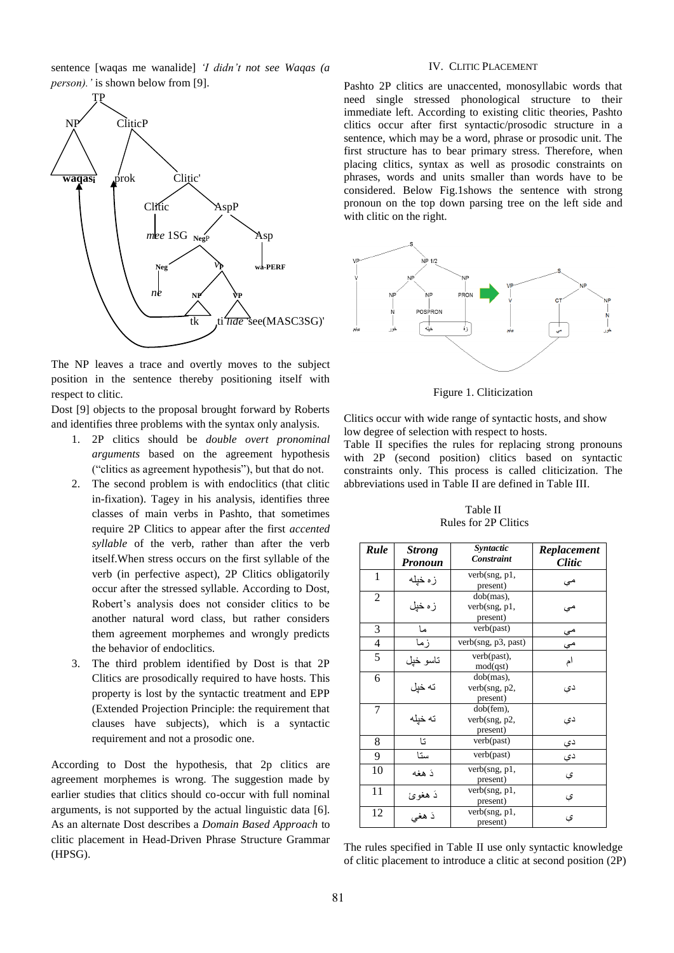sentence [waqas me wanalide] *"I didn"t not see Waqas (a person*). *'* is shown below from [9].



The NP leaves a trace and overtly moves to the subject position in the sentence thereby positioning itself with respect to clitic.

Dost [9] objects to the proposal brought forward by Roberts and identifies three problems with the syntax only analysis.

- 1. 2P clitics should be *double overt pronominal arguments* based on the agreement hypothesis ("clitics as agreement hypothesis"), but that do not.
- 2. The second problem is with endoclitics (that clitic in-fixation). Tagey in his analysis, identifies three classes of main verbs in Pashto, that sometimes require 2P Clitics to appear after the first *accented syllable* of the verb, rather than after the verb itself.When stress occurs on the first syllable of the verb (in perfective aspect), 2P Clitics obligatorily occur after the stressed syllable. According to Dost, Robert"s analysis does not consider clitics to be another natural word class, but rather considers them agreement morphemes and wrongly predicts the behavior of endoclitics.
- 3. The third problem identified by Dost is that 2P Clitics are prosodically required to have hosts. This property is lost by the syntactic treatment and EPP (Extended Projection Principle: the requirement that clauses have subjects), which is a syntactic requirement and not a prosodic one.

According to Dost the hypothesis, that 2p clitics are agreement morphemes is wrong. The suggestion made by earlier studies that clitics should co-occur with full nominal arguments, is not supported by the actual linguistic data [6]. As an alternate Dost describes a *Domain Based Approach* to clitic placement in Head-Driven Phrase Structure Grammar (HPSG).

## IV. CLITIC PLACEMENT

Pashto 2P clitics are unaccented, monosyllabic words that need single stressed phonological structure to their immediate left. According to existing clitic theories, Pashto clitics occur after first syntactic/prosodic structure in a sentence, which may be a word, phrase or prosodic unit. The first structure has to bear primary stress. Therefore, when placing clitics, syntax as well as prosodic constraints on phrases, words and units smaller than words have to be considered. Below Fig.1shows the sentence with strong pronoun on the top down parsing tree on the left side and with clitic on the right.



Figure 1. Cliticization

Clitics occur with wide range of syntactic hosts, and show low degree of selection with respect to hosts.

Table II specifies the rules for replacing strong pronouns with 2P (second position) clitics based on syntactic constraints only. This process is called cliticization. The abbreviations used in Table II are defined in Table III.

Table II Rules for 2P Clitics

| Rule           | <b>Strong</b><br>Pronoun | Syntactic<br><b>Constraint</b>            | Replacement<br><i>Clitic</i> |
|----------------|--------------------------|-------------------------------------------|------------------------------|
| 1              | زه خپله                  | verb(sng, p1,<br>present)                 | مي                           |
| $\overline{2}$ | زه خپل                   | $dob(max)$ ,<br>verb(sng, p1,<br>present) | مى                           |
| 3              | ما                       | verb(past)                                | مې                           |
| $\overline{4}$ | زما                      | verb(sng, p3, past)                       | هې                           |
| 5              | تاسو خپل                 | verb(past),<br>mod(qst)                   | ام                           |
| 6              | ته خیل                   | dob(mas),<br>verb(sng, p2,<br>present)    | دی                           |
| 7              | ته خیله                  | dob(fem),<br>verb(sng, p2,<br>present)    | دی                           |
| 8              | تا                       | verb(past)                                | دې                           |
| 9              | ستا                      | verb(past)                                | دې                           |
| 10             | دَ هغه                   | verb(sng, p1,<br>present)                 | ې                            |
| 11             | دَ هغوئ                  | verb(sng, p1,<br>present)                 | ې                            |
| 12             | دَ هغی                   | verb(sng, p1,<br>present)                 | ې                            |

The rules specified in Table II use only syntactic knowledge of clitic placement to introduce a clitic at second position (2P)